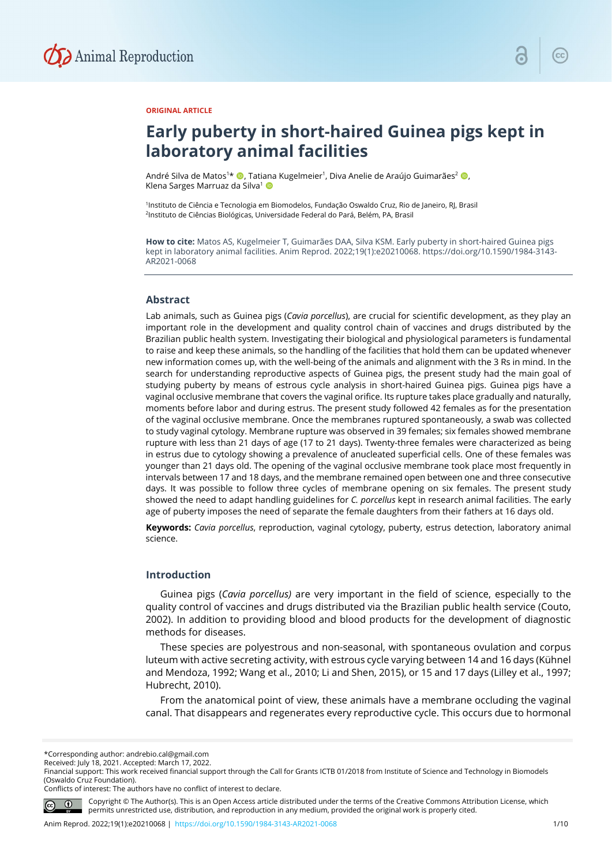

#### **ORIGINAL ARTICLE**

# **Early puberty in short-haired Guinea pigs kept in laboratory animal facilities**

André Silva de Matos<sup>1</sup>\* (D, Tatiana Kugelmeier<sup>1</sup>, Diva Anelie de Araújo Guimarães<sup>2</sup> (D, Klena Sarges Marruaz da Silva<sup>1</sup>

1Instituto de Ciência e Tecnologia em Biomodelos, Fundação Oswaldo Cruz, Rio de Janeiro, RJ, Brasil 2Instituto de Ciências Biológicas, Universidade Federal do Pará, Belém, PA, Brasil

**How to cite:** Matos AS, Kugelmeier T, Guimarães DAA, Silva KSM. Early puberty in short-haired Guinea pigs kept in laboratory animal facilities. Anim Reprod. 2022;19(1):e20210068. https://doi.org/10.1590/1984-3143- AR2021-0068

## **Abstract**

Lab animals, such as Guinea pigs (*Cavia porcellus*), are crucial for scientific development, as they play an important role in the development and quality control chain of vaccines and drugs distributed by the Brazilian public health system. Investigating their biological and physiological parameters is fundamental to raise and keep these animals, so the handling of the facilities that hold them can be updated whenever new information comes up, with the well-being of the animals and alignment with the 3 Rs in mind. In the search for understanding reproductive aspects of Guinea pigs, the present study had the main goal of studying puberty by means of estrous cycle analysis in short-haired Guinea pigs. Guinea pigs have a vaginal occlusive membrane that covers the vaginal orifice. Its rupture takes place gradually and naturally, moments before labor and during estrus. The present study followed 42 females as for the presentation of the vaginal occlusive membrane. Once the membranes ruptured spontaneously, a swab was collected to study vaginal cytology. Membrane rupture was observed in 39 females; six females showed membrane rupture with less than 21 days of age (17 to 21 days). Twenty-three females were characterized as being in estrus due to cytology showing a prevalence of anucleated superficial cells. One of these females was younger than 21 days old. The opening of the vaginal occlusive membrane took place most frequently in intervals between 17 and 18 days, and the membrane remained open between one and three consecutive days. It was possible to follow three cycles of membrane opening on six females. The present study showed the need to adapt handling guidelines for *C. porcellus* kept in research animal facilities. The early age of puberty imposes the need of separate the female daughters from their fathers at 16 days old.

**Keywords:** *Cavia porcellus*, reproduction, vaginal cytology, puberty, estrus detection, laboratory animal science.

## **Introduction**

Guinea pigs (*Cavia porcellus)* are very important in the field of science, especially to the quality control of vaccines and drugs distributed via the Brazilian public health service (Couto, 2002). In addition to providing blood and blood products for the development of diagnostic methods for diseases.

These species are polyestrous and non-seasonal, with spontaneous ovulation and corpus luteum with active secreting activity, with estrous cycle varying between 14 and 16 days (Kühnel and Mendoza, 1992; Wang et al., 2010; Li and Shen, 2015), or 15 and 17 days (Lilley et al., 1997; Hubrecht, 2010).

From the anatomical point of view, these animals have a membrane occluding the vaginal canal. That disappears and regenerates every reproductive cycle. This occurs due to hormonal

Conflicts of interest: The authors have no conflict of interest to declare.



Copyright © The Author(s). This is an Open Access article distributed under the terms of the Creative Commons Attribution License, which permits unrestricted use, distribution, and reproduction in any medium, provided the original work is properly cited.

<sup>\*</sup>Corresponding author: andrebio.cal@gmail.com

Received: July 18, 2021. Accepted: March 17, 2022.

Financial support: This work received financial support through the Call for Grants ICTB 01/2018 from Institute of Science and Technology in Biomodels (Oswaldo Cruz Foundation).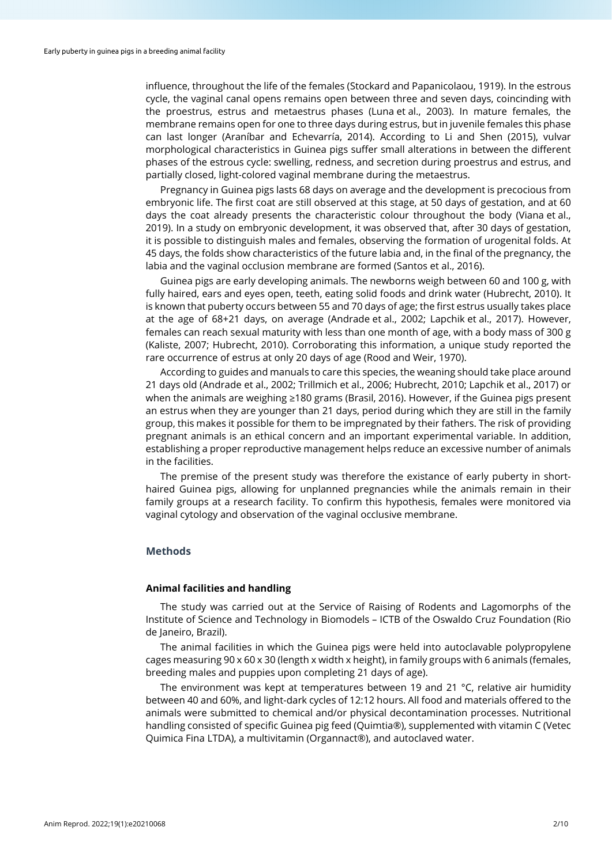influence, throughout the life of the females (Stockard and Papanicolaou, 1919). In the estrous cycle, the vaginal canal opens remains open between three and seven days, coincinding with the proestrus, estrus and metaestrus phases (Luna et al., 2003). In mature females, the membrane remains open for one to three days during estrus, but in juvenile females this phase can last longer (Araníbar and Echevarría, 2014). According to Li and Shen (2015), vulvar morphological characteristics in Guinea pigs suffer small alterations in between the different phases of the estrous cycle: swelling, redness, and secretion during proestrus and estrus, and partially closed, light-colored vaginal membrane during the metaestrus.

Pregnancy in Guinea pigs lasts 68 days on average and the development is precocious from embryonic life. The first coat are still observed at this stage, at 50 days of gestation, and at 60 days the coat already presents the characteristic colour throughout the body (Viana et al., 2019). In a study on embryonic development, it was observed that, after 30 days of gestation, it is possible to distinguish males and females, observing the formation of urogenital folds. At 45 days, the folds show characteristics of the future labia and, in the final of the pregnancy, the labia and the vaginal occlusion membrane are formed (Santos et al., 2016).

Guinea pigs are early developing animals. The newborns weigh between 60 and 100 g, with fully haired, ears and eyes open, teeth, eating solid foods and drink water (Hubrecht, 2010). It is known that puberty occurs between 55 and 70 days of age; the first estrus usually takes place at the age of 68+21 days, on average (Andrade et al., 2002; Lapchik et al., 2017). However, females can reach sexual maturity with less than one month of age, with a body mass of 300 g (Kaliste, 2007; Hubrecht, 2010). Corroborating this information, a unique study reported the rare occurrence of estrus at only 20 days of age (Rood and Weir, 1970).

According to guides and manuals to care this species, the weaning should take place around 21 days old (Andrade et al., 2002; Trillmich et al., 2006; Hubrecht, 2010; Lapchik et al., 2017) or when the animals are weighing ≥180 grams (Brasil, 2016). However, if the Guinea pigs present an estrus when they are younger than 21 days, period during which they are still in the family group, this makes it possible for them to be impregnated by their fathers. The risk of providing pregnant animals is an ethical concern and an important experimental variable. In addition, establishing a proper reproductive management helps reduce an excessive number of animals in the facilities.

The premise of the present study was therefore the existance of early puberty in shorthaired Guinea pigs, allowing for unplanned pregnancies while the animals remain in their family groups at a research facility. To confirm this hypothesis, females were monitored via vaginal cytology and observation of the vaginal occlusive membrane.

## **Methods**

#### **Animal facilities and handling**

The study was carried out at the Service of Raising of Rodents and Lagomorphs of the Institute of Science and Technology in Biomodels – ICTB of the Oswaldo Cruz Foundation (Rio de Janeiro, Brazil).

The animal facilities in which the Guinea pigs were held into autoclavable polypropylene cages measuring 90 x 60 x 30 (length x width x height), in family groups with 6 animals (females, breeding males and puppies upon completing 21 days of age).

The environment was kept at temperatures between 19 and 21  $^{\circ}$ C, relative air humidity between 40 and 60%, and light-dark cycles of 12:12 hours. All food and materials offered to the animals were submitted to chemical and/or physical decontamination processes. Nutritional handling consisted of specific Guinea pig feed (Quimtia®), supplemented with vitamin C (Vetec Quimica Fina LTDA), a multivitamin (Organnact®), and autoclaved water.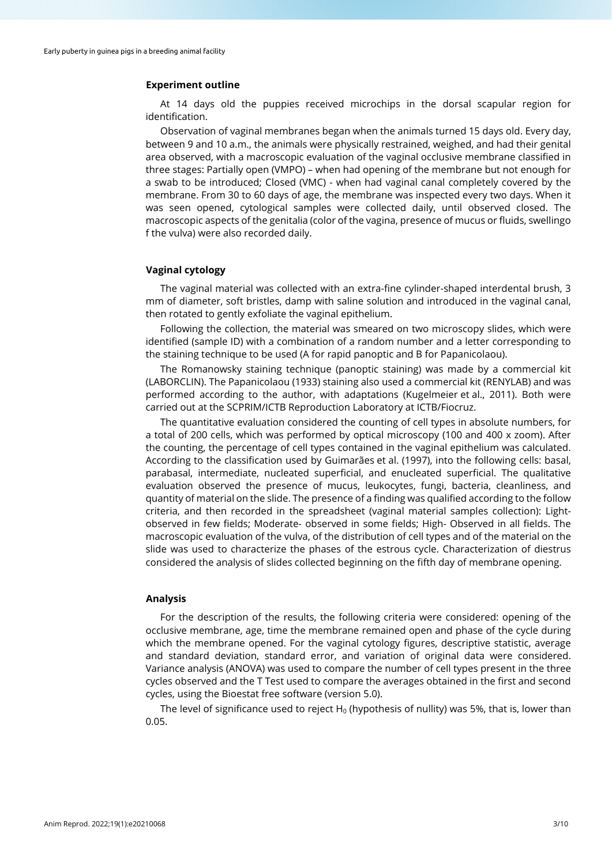# **Experiment outline**

At 14 days old the puppies received microchips in the dorsal scapular region for identification.

Observation of vaginal membranes began when the animals turned 15 days old. Every day, between 9 and 10 a.m., the animals were physically restrained, weighed, and had their genital area observed, with a macroscopic evaluation of the vaginal occlusive membrane classified in three stages: Partially open (VMPO) – when had opening of the membrane but not enough for a swab to be introduced; Closed (VMC) - when had vaginal canal completely covered by the membrane. From 30 to 60 days of age, the membrane was inspected every two days. When it was seen opened, cytological samples were collected daily, until observed closed. The macroscopic aspects of the genitalia (color of the vagina, presence of mucus or fluids, swellingo f the vulva) were also recorded daily.

#### **Vaginal cytology**

The vaginal material was collected with an extra-fine cylinder-shaped interdental brush, 3 mm of diameter, soft bristles, damp with saline solution and introduced in the vaginal canal, then rotated to gently exfoliate the vaginal epithelium.

Following the collection, the material was smeared on two microscopy slides, which were identified (sample ID) with a combination of a random number and a letter corresponding to the staining technique to be used (A for rapid panoptic and B for Papanicolaou).

The Romanowsky staining technique (panoptic staining) was made by a commercial kit (LABORCLIN). The Papanicolaou (1933) staining also used a commercial kit (RENYLAB) and was performed according to the author, with adaptations (Kugelmeier et al., 2011). Both were carried out at the SCPRIM/ICTB Reproduction Laboratory at ICTB/Fiocruz.

The quantitative evaluation considered the counting of cell types in absolute numbers, for a total of 200 cells, which was performed by optical microscopy (100 and 400 x zoom). After the counting, the percentage of cell types contained in the vaginal epithelium was calculated. According to the classification used by Guimarães et al. (1997), into the following cells: basal, parabasal, intermediate, nucleated superficial, and enucleated superficial. The qualitative evaluation observed the presence of mucus, leukocytes, fungi, bacteria, cleanliness, and quantity of material on the slide. The presence of a finding was qualified according to the follow criteria, and then recorded in the spreadsheet (vaginal material samples collection): Lightobserved in few fields; Moderate- observed in some fields; High- Observed in all fields. The macroscopic evaluation of the vulva, of the distribution of cell types and of the material on the slide was used to characterize the phases of the estrous cycle. Characterization of diestrus considered the analysis of slides collected beginning on the fifth day of membrane opening.

#### **Analysis**

For the description of the results, the following criteria were considered: opening of the occlusive membrane, age, time the membrane remained open and phase of the cycle during which the membrane opened. For the vaginal cytology figures, descriptive statistic, average and standard deviation, standard error, and variation of original data were considered. Variance analysis (ANOVA) was used to compare the number of cell types present in the three cycles observed and the T Test used to compare the averages obtained in the first and second cycles, using the Bioestat free software (version 5.0).

The level of significance used to reject  $H_0$  (hypothesis of nullity) was 5%, that is, lower than 0.05.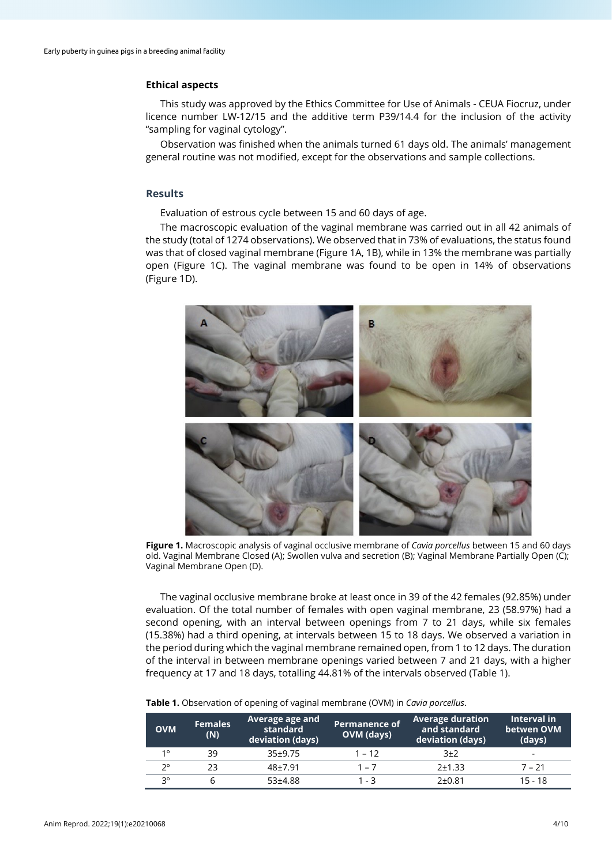## **Ethical aspects**

This study was approved by the Ethics Committee for Use of Animals - CEUA Fiocruz, under licence number LW-12/15 and the additive term P39/14.4 for the inclusion of the activity "sampling for vaginal cytology".

Observation was finished when the animals turned 61 days old. The animals' management general routine was not modified, except for the observations and sample collections.

## **Results**

Evaluation of estrous cycle between 15 and 60 days of age.

The macroscopic evaluation of the vaginal membrane was carried out in all 42 animals of the study (total of 1274 observations). We observed that in 73% of evaluations, the status found was that of closed vaginal membrane (Figure 1A, 1B), while in 13% the membrane was partially open (Figure 1C). The vaginal membrane was found to be open in 14% of observations (Figure 1D).



**Figure 1.** Macroscopic analysis of vaginal occlusive membrane of *Cavia porcellus* between 15 and 60 days old. Vaginal Membrane Closed (A); Swollen vulva and secretion (B); Vaginal Membrane Partially Open (C); Vaginal Membrane Open (D).

The vaginal occlusive membrane broke at least once in 39 of the 42 females (92.85%) under evaluation. Of the total number of females with open vaginal membrane, 23 (58.97%) had a second opening, with an interval between openings from 7 to 21 days, while six females (15.38%) had a third opening, at intervals between 15 to 18 days. We observed a variation in the period during which the vaginal membrane remained open, from 1 to 12 days. The duration of the interval in between membrane openings varied between 7 and 21 days, with a higher frequency at 17 and 18 days, totalling 44.81% of the intervals observed (Table 1).

| <b>OVM</b>  | <b>Females</b><br>(N) | Average age and<br>standard<br>deviation (days) | Permanence of<br>OVM (days) | <b>Average duration</b><br>and standard<br>deviation (days) | Interval in<br>betwen OVM<br>(days) |
|-------------|-----------------------|-------------------------------------------------|-----------------------------|-------------------------------------------------------------|-------------------------------------|
| 10          | 39                    | $35+9.75$                                       | $1 - 12$                    | 3±2                                                         | $\overline{\phantom{0}}$            |
| $2^{\circ}$ | 23                    | $48 + 7.91$                                     | $1 - 7$                     | $2 + 1.33$                                                  | $7 - 21$                            |
| 20          |                       | 53±4.88                                         | 1 - 3                       | 2±0.81                                                      | $15 - 18$                           |

#### **Table 1.** Observation of opening of vaginal membrane (OVM) in *Cavia porcellus*.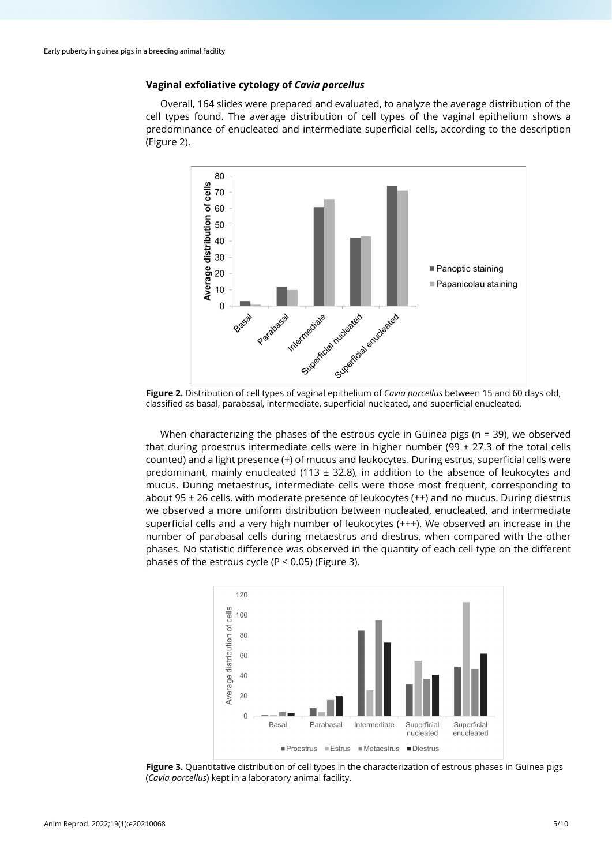# **Vaginal exfoliative cytology of** *Cavia porcellus*

Overall, 164 slides were prepared and evaluated, to analyze the average distribution of the cell types found. The average distribution of cell types of the vaginal epithelium shows a predominance of enucleated and intermediate superficial cells, according to the description (Figure 2).



**Figure 2.** Distribution of cell types of vaginal epithelium of *Cavia porcellus* between 15 and 60 days old, classified as basal, parabasal, intermediate, superficial nucleated, and superficial enucleated.

When characterizing the phases of the estrous cycle in Guinea pigs ( $n = 39$ ), we observed that during proestrus intermediate cells were in higher number (99  $\pm$  27.3 of the total cells counted) and a light presence (+) of mucus and leukocytes. During estrus, superficial cells were predominant, mainly enucleated (113  $\pm$  32.8), in addition to the absence of leukocytes and mucus. During metaestrus, intermediate cells were those most frequent, corresponding to about 95  $\pm$  26 cells, with moderate presence of leukocytes ( $++$ ) and no mucus. During diestrus we observed a more uniform distribution between nucleated, enucleated, and intermediate superficial cells and a very high number of leukocytes (+++). We observed an increase in the number of parabasal cells during metaestrus and diestrus, when compared with the other phases. No statistic difference was observed in the quantity of each cell type on the different phases of the estrous cycle (P < 0.05) (Figure 3).



**Figure 3.** Quantitative distribution of cell types in the characterization of estrous phases in Guinea pigs (*Cavia porcellus*) kept in a laboratory animal facility.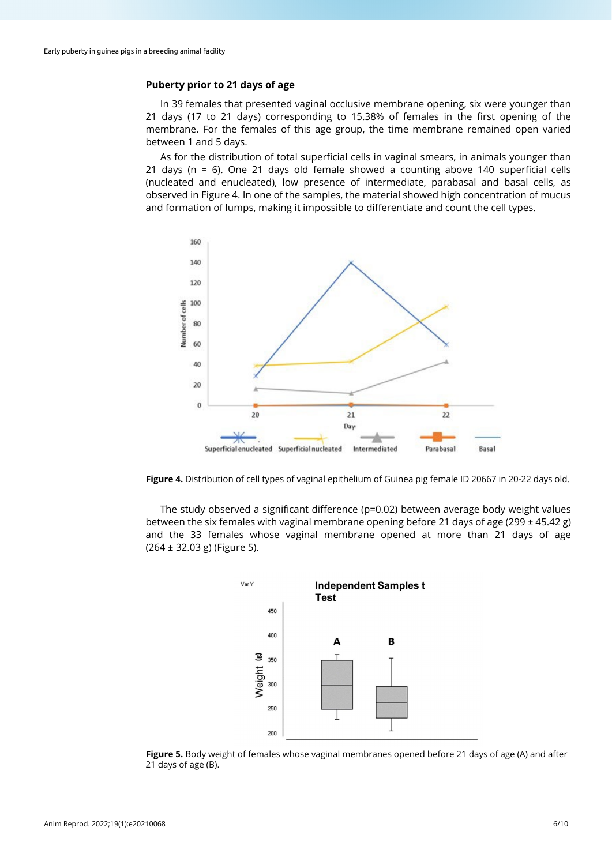# **Puberty prior to 21 days of age**

In 39 females that presented vaginal occlusive membrane opening, six were younger than 21 days (17 to 21 days) corresponding to 15.38% of females in the first opening of the membrane. For the females of this age group, the time membrane remained open varied between 1 and 5 days.

As for the distribution of total superficial cells in vaginal smears, in animals younger than 21 days (n = 6). One 21 days old female showed a counting above 140 superficial cells (nucleated and enucleated), low presence of intermediate, parabasal and basal cells, as observed in Figure 4. In one of the samples, the material showed high concentration of mucus and formation of lumps, making it impossible to differentiate and count the cell types.



**Figure 4.** Distribution of cell types of vaginal epithelium of Guinea pig female ID 20667 in 20-22 days old.

The study observed a significant difference (p=0.02) between average body weight values between the six females with vaginal membrane opening before 21 days of age (299 ± 45.42 g) and the 33 females whose vaginal membrane opened at more than 21 days of age (264 ± 32.03 g) (Figure 5).



**Figure 5.** Body weight of females whose vaginal membranes opened before 21 days of age (A) and after 21 days of age (B).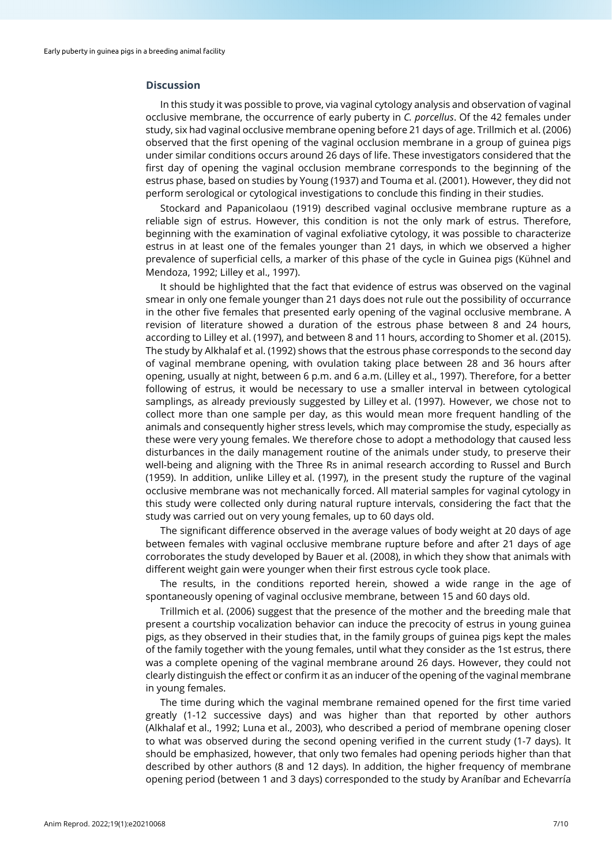## **Discussion**

In this study it was possible to prove, via vaginal cytology analysis and observation of vaginal occlusive membrane, the occurrence of early puberty in *C. porcellus*. Of the 42 females under study, six had vaginal occlusive membrane opening before 21 days of age. Trillmich et al. (2006) observed that the first opening of the vaginal occlusion membrane in a group of guinea pigs under similar conditions occurs around 26 days of life. These investigators considered that the first day of opening the vaginal occlusion membrane corresponds to the beginning of the estrus phase, based on studies by Young (1937) and Touma et al. (2001). However, they did not perform serological or cytological investigations to conclude this finding in their studies.

Stockard and Papanicolaou (1919) described vaginal occlusive membrane rupture as a reliable sign of estrus. However, this condition is not the only mark of estrus. Therefore, beginning with the examination of vaginal exfoliative cytology, it was possible to characterize estrus in at least one of the females younger than 21 days, in which we observed a higher prevalence of superficial cells, a marker of this phase of the cycle in Guinea pigs (Kühnel and Mendoza, 1992; Lilley et al., 1997).

It should be highlighted that the fact that evidence of estrus was observed on the vaginal smear in only one female younger than 21 days does not rule out the possibility of occurrance in the other five females that presented early opening of the vaginal occlusive membrane. A revision of literature showed a duration of the estrous phase between 8 and 24 hours, according to Lilley et al. (1997), and between 8 and 11 hours, according to Shomer et al. (2015). The study by Alkhalaf et al. (1992) shows that the estrous phase corresponds to the second day of vaginal membrane opening, with ovulation taking place between 28 and 36 hours after opening, usually at night, between 6 p.m. and 6 a.m. (Lilley et al., 1997). Therefore, for a better following of estrus, it would be necessary to use a smaller interval in between cytological samplings, as already previously suggested by Lilley et al. (1997). However, we chose not to collect more than one sample per day, as this would mean more frequent handling of the animals and consequently higher stress levels, which may compromise the study, especially as these were very young females. We therefore chose to adopt a methodology that caused less disturbances in the daily management routine of the animals under study, to preserve their well-being and aligning with the Three Rs in animal research according to Russel and Burch (1959). In addition, unlike Lilley et al. (1997), in the present study the rupture of the vaginal occlusive membrane was not mechanically forced. All material samples for vaginal cytology in this study were collected only during natural rupture intervals, considering the fact that the study was carried out on very young females, up to 60 days old.

The significant difference observed in the average values of body weight at 20 days of age between females with vaginal occlusive membrane rupture before and after 21 days of age corroborates the study developed by Bauer et al. (2008), in which they show that animals with different weight gain were younger when their first estrous cycle took place.

The results, in the conditions reported herein, showed a wide range in the age of spontaneously opening of vaginal occlusive membrane, between 15 and 60 days old.

Trillmich et al. (2006) suggest that the presence of the mother and the breeding male that present a courtship vocalization behavior can induce the precocity of estrus in young guinea pigs, as they observed in their studies that, in the family groups of guinea pigs kept the males of the family together with the young females, until what they consider as the 1st estrus, there was a complete opening of the vaginal membrane around 26 days. However, they could not clearly distinguish the effect or confirm it as an inducer of the opening of the vaginal membrane in young females.

The time during which the vaginal membrane remained opened for the first time varied greatly (1-12 successive days) and was higher than that reported by other authors (Alkhalaf et al., 1992; Luna et al., 2003), who described a period of membrane opening closer to what was observed during the second opening verified in the current study (1-7 days). It should be emphasized, however, that only two females had opening periods higher than that described by other authors (8 and 12 days). In addition, the higher frequency of membrane opening period (between 1 and 3 days) corresponded to the study by Araníbar and Echevarría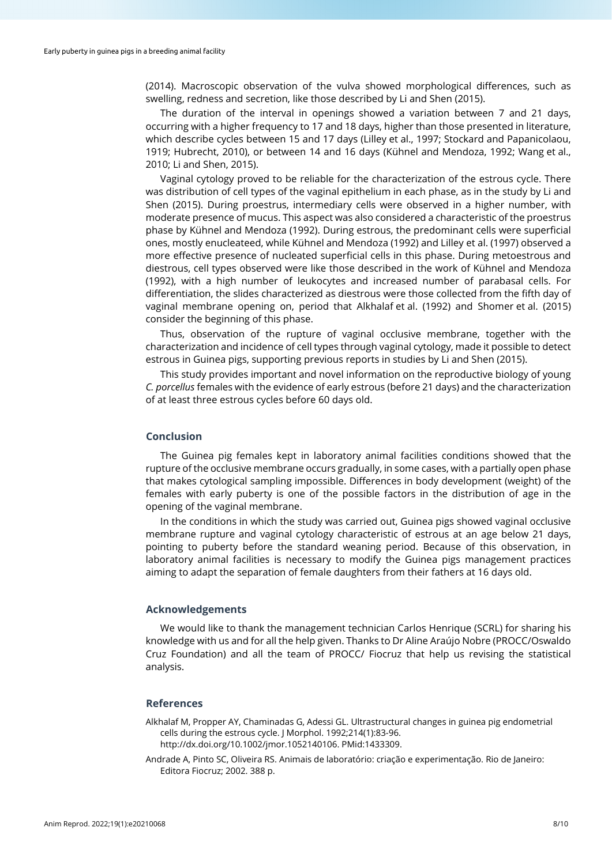(2014). Macroscopic observation of the vulva showed morphological differences, such as swelling, redness and secretion, like those described by Li and Shen (2015).

The duration of the interval in openings showed a variation between 7 and 21 days, occurring with a higher frequency to 17 and 18 days, higher than those presented in literature, which describe cycles between 15 and 17 days (Lilley et al., 1997; Stockard and Papanicolaou, 1919; Hubrecht, 2010), or between 14 and 16 days (Kühnel and Mendoza, 1992; Wang et al., 2010; Li and Shen, 2015).

Vaginal cytology proved to be reliable for the characterization of the estrous cycle. There was distribution of cell types of the vaginal epithelium in each phase, as in the study by Li and Shen (2015). During proestrus, intermediary cells were observed in a higher number, with moderate presence of mucus. This aspect was also considered a characteristic of the proestrus phase by Kühnel and Mendoza (1992). During estrous, the predominant cells were superficial ones, mostly enucleateed, while Kühnel and Mendoza (1992) and Lilley et al. (1997) observed a more effective presence of nucleated superficial cells in this phase. During metoestrous and diestrous, cell types observed were like those described in the work of Kühnel and Mendoza (1992), with a high number of leukocytes and increased number of parabasal cells. For differentiation, the slides characterized as diestrous were those collected from the fifth day of vaginal membrane opening on, period that Alkhalaf et al. (1992) and Shomer et al. (2015) consider the beginning of this phase.

Thus, observation of the rupture of vaginal occlusive membrane, together with the characterization and incidence of cell types through vaginal cytology, made it possible to detect estrous in Guinea pigs, supporting previous reports in studies by Li and Shen (2015).

This study provides important and novel information on the reproductive biology of young *C. porcellus* females with the evidence of early estrous (before 21 days) and the characterization of at least three estrous cycles before 60 days old.

#### **Conclusion**

The Guinea pig females kept in laboratory animal facilities conditions showed that the rupture of the occlusive membrane occurs gradually, in some cases, with a partially open phase that makes cytological sampling impossible. Differences in body development (weight) of the females with early puberty is one of the possible factors in the distribution of age in the opening of the vaginal membrane.

In the conditions in which the study was carried out, Guinea pigs showed vaginal occlusive membrane rupture and vaginal cytology characteristic of estrous at an age below 21 days, pointing to puberty before the standard weaning period. Because of this observation, in laboratory animal facilities is necessary to modify the Guinea pigs management practices aiming to adapt the separation of female daughters from their fathers at 16 days old.

## **Acknowledgements**

We would like to thank the management technician Carlos Henrique (SCRL) for sharing his knowledge with us and for all the help given. Thanks to Dr Aline Araújo Nobre (PROCC/Oswaldo Cruz Foundation) and all the team of PROCC/ Fiocruz that help us revising the statistical analysis.

## **References**

- Alkhalaf M, Propper AY, Chaminadas G, Adessi GL. Ultrastructural changes in guinea pig endometrial cells during the estrous cycle. J Morphol. 1992;214(1):83-96. [http://dx.doi.org/10.1002/jmor.1052140106.](https://doi.org/10.1002/jmor.1052140106) [PMid:1433309.](https://www.ncbi.nlm.nih.gov/entrez/query.fcgi?cmd=Retrieve&db=PubMed&list_uids=1433309&dopt=Abstract)
- Andrade A, Pinto SC, Oliveira RS. Animais de laboratório: criação e experimentação. Rio de Janeiro: Editora Fiocruz; 2002. 388 p.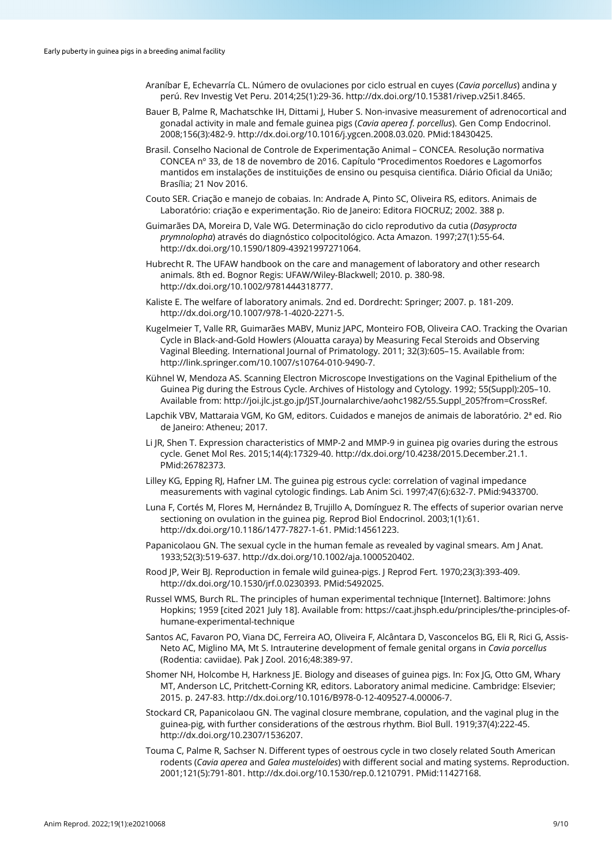- Araníbar E, Echevarría CL. Número de ovulaciones por ciclo estrual en cuyes (*Cavia porcellus*) andina y perú. Rev Investig Vet Peru. 2014;25(1):29-36[. http://dx.doi.org/10.15381/rivep.v25i1.8465.](https://doi.org/10.15381/rivep.v25i1.8465)
- Bauer B, Palme R, Machatschke IH, Dittami J, Huber S. Non-invasive measurement of adrenocortical and gonadal activity in male and female guinea pigs (*Cavia aperea f. porcellus*). Gen Comp Endocrinol. 2008;156(3):482-9. [http://dx.doi.org/10.1016/j.ygcen.2008.03.020.](https://doi.org/10.1016/j.ygcen.2008.03.020) [PMid:18430425.](https://www.ncbi.nlm.nih.gov/entrez/query.fcgi?cmd=Retrieve&db=PubMed&list_uids=18430425&dopt=Abstract)
- Brasil. Conselho Nacional de Controle de Experimentação Animal CONCEA. Resolução normativa CONCEA nº 33, de 18 de novembro de 2016. Capítulo "Procedimentos Roedores e Lagomorfos mantidos em instalações de instituições de ensino ou pesquisa cientifica. Diário Oficial da União; Brasília; 21 Nov 2016.
- Couto SER. Criação e manejo de cobaias. In: Andrade A, Pinto SC, Oliveira RS, editors. Animais de Laboratório: criação e experimentação. Rio de Janeiro: Editora FIOCRUZ; 2002. 388 p.
- Guimarães DA, Moreira D, Vale WG. Determinação do ciclo reprodutivo da cutia (*Dasyprocta prymnolopha*) através do diagnóstico colpocitológico. Acta Amazon. 1997;27(1):55-64. [http://dx.doi.org/10.1590/1809-43921997271064.](https://doi.org/10.1590/1809-43921997271064)
- Hubrecht R. The UFAW handbook on the care and management of laboratory and other research animals. 8th ed. Bognor Regis: UFAW/Wiley-Blackwell; 2010. p. 380-98. [http://dx.doi.org/10.1002/9781444318777.](https://doi.org/10.1002/9781444318777)
- Kaliste E. The welfare of laboratory animals. 2nd ed. Dordrecht: Springer; 2007. p. 181-209. [http://dx.doi.org/10.1007/978-1-4020-2271-5.](https://doi.org/10.1007/978-1-4020-2271-5)
- Kugelmeier T, Valle RR, Guimarães MABV, Muniz JAPC, Monteiro FOB, Oliveira CAO. Tracking the Ovarian Cycle in Black-and-Gold Howlers (Alouatta caraya) by Measuring Fecal Steroids and Observing Vaginal Bleeding. International Journal of Primatology. 2011; 32(3):605–15. Available from: [http://link.springer.com/10.1007/s10764-010-9490-7.](http://link.springer.com/10.1007/s10764-010-9490-7)
- Kühnel W, Mendoza AS. Scanning Electron Microscope Investigations on the Vaginal Epithelium of the Guinea Pig during the Estrous Cycle. Archives of Histology and Cytology. 1992; 55(Suppl):205–10. Available from: [http://joi.jlc.jst.go.jp/JST.Journalarchive/aohc1982/55.Suppl\\_205?from=CrossRef.](http://joi.jlc.jst.go.jp/JST.Journalarchive/aohc1982/55.Suppl_205?from=CrossRef)
- Lapchik VBV, Mattaraia VGM, Ko GM, editors. Cuidados e manejos de animais de laboratório. 2ª ed. Rio de Janeiro: Atheneu; 2017.
- Li JR, Shen T. Expression characteristics of MMP-2 and MMP-9 in guinea pig ovaries during the estrous cycle. Genet Mol Res. 2015;14(4):17329-40[. http://dx.doi.org/10.4238/2015.December.21.1](https://doi.org/10.4238/2015.December.21.1)[.](https://www.ncbi.nlm.nih.gov/entrez/query.fcgi?cmd=Retrieve&db=PubMed&list_uids=26782373&dopt=Abstract) [PMid:26782373.](https://www.ncbi.nlm.nih.gov/entrez/query.fcgi?cmd=Retrieve&db=PubMed&list_uids=26782373&dopt=Abstract)
- Lilley KG, Epping RJ, Hafner LM. The guinea pig estrous cycle: correlation of vaginal impedance measurements with vaginal cytologic findings. Lab Anim Sci. 1997;47(6):632-7. [PMid:9433700.](https://www.ncbi.nlm.nih.gov/entrez/query.fcgi?cmd=Retrieve&db=PubMed&list_uids=9433700&dopt=Abstract)
- Luna F, Cortés M, Flores M, Hernández B, Trujillo A, Domínguez R. The effects of superior ovarian nerve sectioning on ovulation in the guinea pig. Reprod Biol Endocrinol. 2003;1(1):61. [http://dx.doi.org/10.1186/1477-7827-1-61.](https://doi.org/10.1186/1477-7827-1-61) [PMid:14561223.](https://www.ncbi.nlm.nih.gov/entrez/query.fcgi?cmd=Retrieve&db=PubMed&list_uids=14561223&dopt=Abstract)
- Papanicolaou GN. The sexual cycle in the human female as revealed by vaginal smears. Am J Anat. 1933;52(3):519-637. [http://dx.doi.org/10.1002/aja.1000520402.](https://doi.org/10.1002/aja.1000520402)
- Rood JP, Weir BJ. Reproduction in female wild guinea-pigs. J Reprod Fert. 1970;23(3):393-409. [http://dx.doi.org/10.1530/jrf.0.0230393.](https://doi.org/10.1530/jrf.0.0230393) [PMid:5492025.](https://www.ncbi.nlm.nih.gov/entrez/query.fcgi?cmd=Retrieve&db=PubMed&list_uids=5492025&dopt=Abstract)
- Russel WMS, Burch RL. The principles of human experimental technique [Internet]. Baltimore: Johns Hopkins; 1959 [cited 2021 July 18]. Available from: https://caat.jhsph.edu/principles/the-principles-ofhumane-experimental-technique
- Santos AC, Favaron PO, Viana DC, Ferreira AO, Oliveira F, Alcântara D, Vasconcelos BG, Eli R, Rici G, Assis-Neto AC, Miglino MA, Mt S. Intrauterine development of female genital organs in *Cavia porcellus* (Rodentia: caviidae). Pak J Zool. 2016;48:389-97.
- Shomer NH, Holcombe H, Harkness JE. Biology and diseases of guinea pigs. In: Fox JG, Otto GM, Whary MT, Anderson LC, Pritchett-Corning KR, editors. Laboratory animal medicine. Cambridge: Elsevier; 2015. p. 247-83[. http://dx.doi.org/10.1016/B978-0-12-409527-4.00006-7.](https://doi.org/10.1016/B978-0-12-409527-4.00006-7)
- Stockard CR, Papanicolaou GN. The vaginal closure membrane, copulation, and the vaginal plug in the guinea-pig, with further considerations of the œstrous rhythm. Biol Bull. 1919;37(4):222-45. [http://dx.doi.org/10.2307/1536207.](https://doi.org/10.2307/1536207)
- Touma C, Palme R, Sachser N. Different types of oestrous cycle in two closely related South American rodents (*Cavia aperea* and *Galea musteloides*) with different social and mating systems. Reproduction. 2001;121(5):791-801. [http://dx.doi.org/10.1530/rep.0.1210791.](https://doi.org/10.1530/rep.0.1210791) [PMid:11427168.](https://www.ncbi.nlm.nih.gov/entrez/query.fcgi?cmd=Retrieve&db=PubMed&list_uids=11427168&dopt=Abstract)